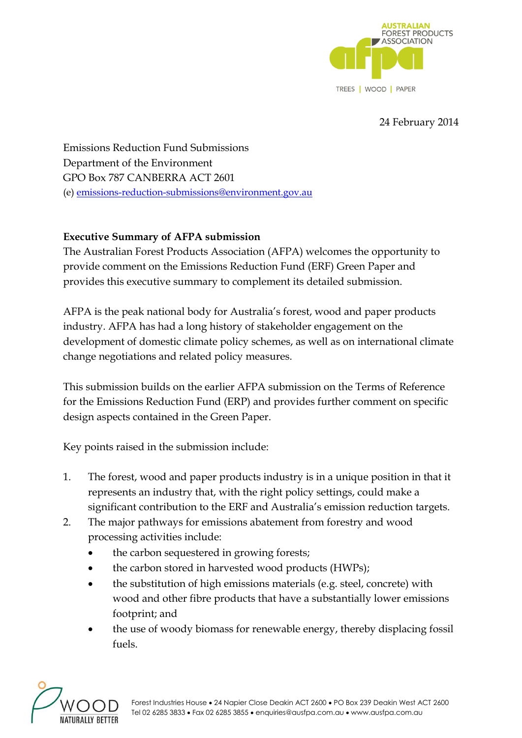

## 24 February 2014

Emissions Reduction Fund Submissions Department of the Environment GPO Box 787 CANBERRA ACT 2601 (e) [emissions-reduction-submissions@environment.gov.au](mailto:emissions-reduction-submissions@environment.gov.au)

## **Executive Summary of AFPA submission**

The Australian Forest Products Association (AFPA) welcomes the opportunity to provide comment on the Emissions Reduction Fund (ERF) Green Paper and provides this executive summary to complement its detailed submission.

AFPA is the peak national body for Australia's forest, wood and paper products industry. AFPA has had a long history of stakeholder engagement on the development of domestic climate policy schemes, as well as on international climate change negotiations and related policy measures.

This submission builds on the earlier AFPA submission on the Terms of Reference for the Emissions Reduction Fund (ERP) and provides further comment on specific design aspects contained in the Green Paper.

Key points raised in the submission include:

- 1. The forest, wood and paper products industry is in a unique position in that it represents an industry that, with the right policy settings, could make a significant contribution to the ERF and Australia's emission reduction targets.
- 2. The major pathways for emissions abatement from forestry and wood processing activities include:
	- the carbon sequestered in growing forests;
	- the carbon stored in harvested wood products (HWPs);
	- the substitution of high emissions materials (e.g. steel, concrete) with wood and other fibre products that have a substantially lower emissions footprint; and
	- the use of woody biomass for renewable energy, thereby displacing fossil fuels.